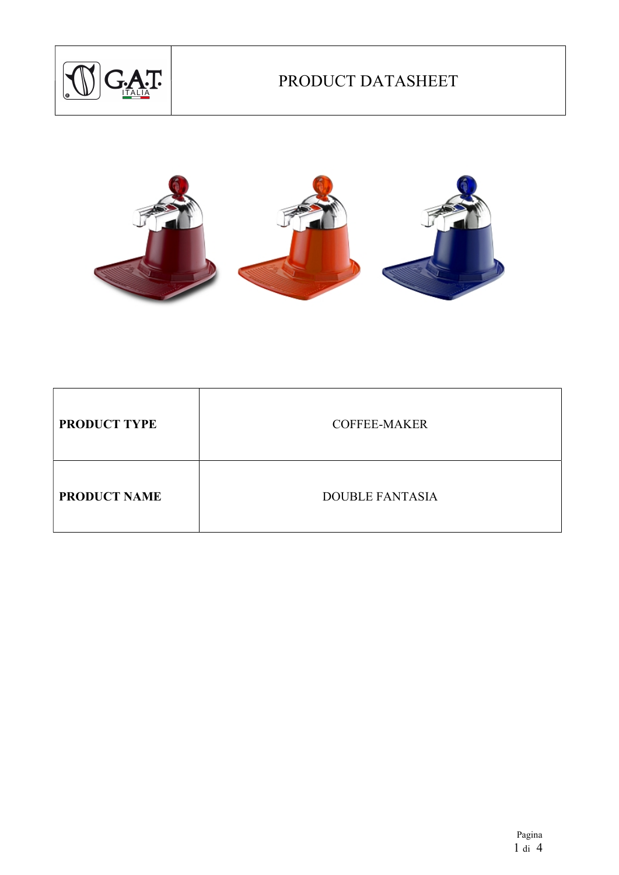

# PRODUCT DATASHEET



| <b>PRODUCT TYPE</b> | <b>COFFEE-MAKER</b>    |
|---------------------|------------------------|
| <b>PRODUCT NAME</b> | <b>DOUBLE FANTASIA</b> |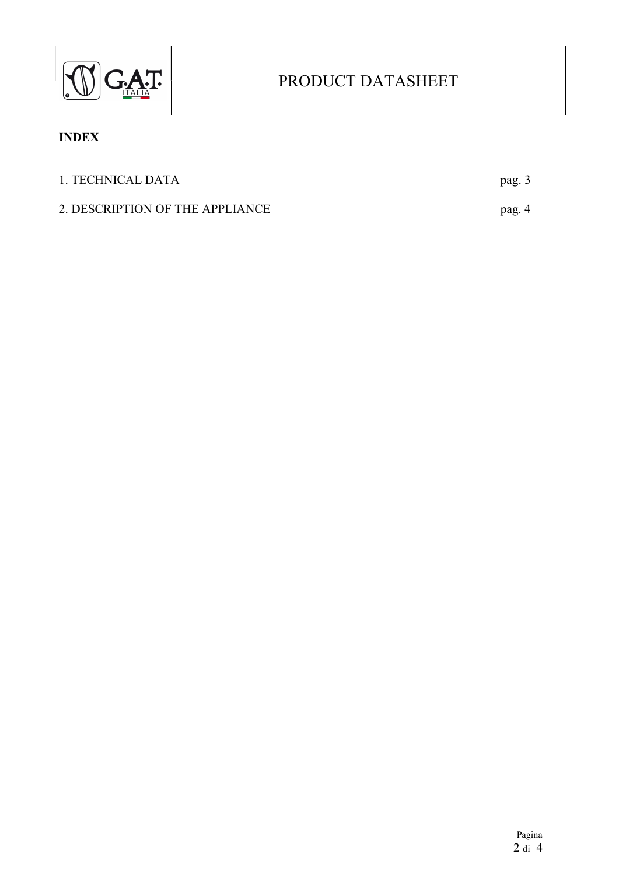

## PRODUCT DATASHEET

#### INDEX

| 1. TECHNICAL DATA               | pag. 3 |
|---------------------------------|--------|
| 2. DESCRIPTION OF THE APPLIANCE | pag. 4 |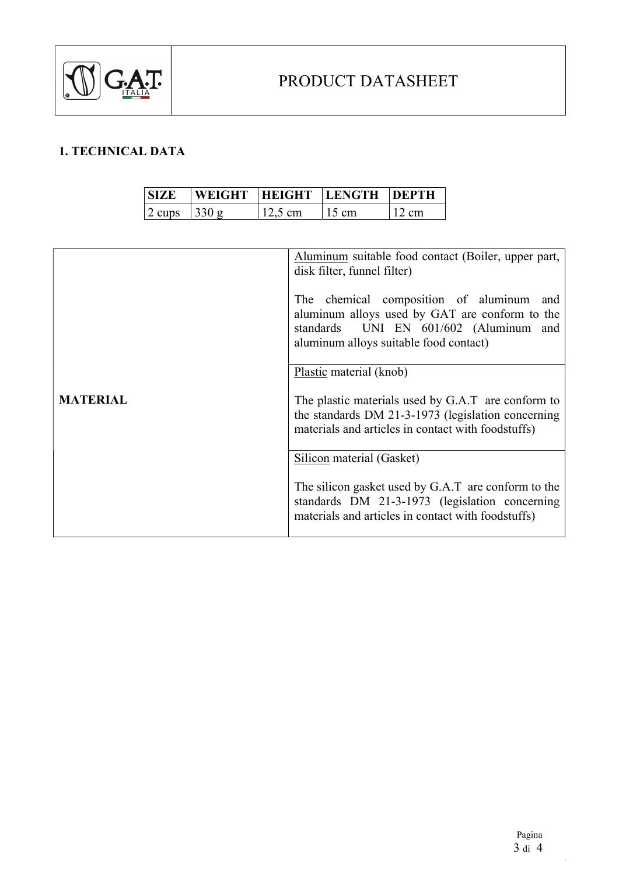

## 1. TECHNICAL DATA

|        | WEIGHT HEIGHT LENGTH |                   |                 | <b>IDEPTH</b> |
|--------|----------------------|-------------------|-----------------|---------------|
| 2 cups |                      | $12.5 \text{ cm}$ | $15 \text{ cm}$ | cm            |

|                 | Aluminum suitable food contact (Boiler, upper part,<br>disk filter, funnel filter)<br>The chemical composition of aluminum<br>and<br>aluminum alloys used by GAT are conform to the<br>standards UNI EN 601/602 (Aluminum and<br>aluminum alloys suitable food contact) |
|-----------------|-------------------------------------------------------------------------------------------------------------------------------------------------------------------------------------------------------------------------------------------------------------------------|
|                 | Plastic material (knob)                                                                                                                                                                                                                                                 |
| <b>MATERIAL</b> | The plastic materials used by G.A.T are conform to<br>the standards DM 21-3-1973 (legislation concerning<br>materials and articles in contact with foodstuffs)                                                                                                          |
|                 | Silicon material (Gasket)                                                                                                                                                                                                                                               |
|                 | The silicon gasket used by G.A.T are conform to the<br>standards DM 21-3-1973 (legislation concerning<br>materials and articles in contact with foodstuffs)                                                                                                             |

 $\frac{1}{2}$